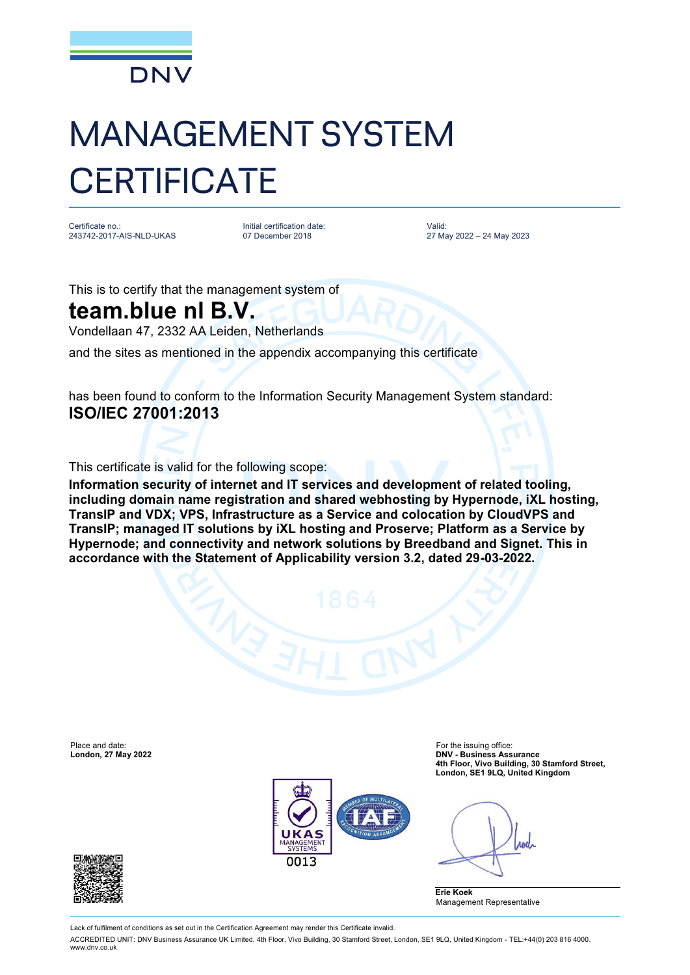

## MANAGEMENT SYSTEM **CERTIFICATE**

Certificate no.: 243742-2017-AIS-NLD-UKAS

Initial certification date: 07 December 2018

Valid: 27 May 2022 – 24 May 2023

This is to certify that the management system of

## **team.blue nl B.V.**

Vondellaan 47, 2332 AA Leiden, Netherlands

and the sites as mentioned in the appendix accompanying this certificate

has been found to conform to the Information Security Management System standard: **ISO/IEC 27001:2013**

This certificate is valid for the following scope:

**Information security of internet and IT services and development of related tooling, including domain name registration and shared webhosting by Hypernode, iXL hosting, TransIP and VDX; VPS, Infrastructure as a Service and colocation by CloudVPS and TransIP; managed IT solutions by iXL hosting and Proserve; Platform as a Service by Hypernode; and connectivity and network solutions by Breedband and Signet. This in accordance with the Statement of Applicability version 3.2, dated 29-03-2022.**

Place and date: For the issuing office:<br> **Place and date:** For the issuing office:<br> **DNV - Business Ass** 



**London, 27 May 2022 DNV - Business Assurance 4th Floor, Vivo Building, 30 Stamford Street, London, SE1 9LQ, United Kingdom**

Anel

**Erie Koek** Management Representative



Lack of fulfilment of conditions as set out in the Certification Agreement may render this Certificate invalid.

ACCREDITED UNIT: DNV Business Assurance UK Limited, 4th Floor, Vivo Building, 30 Stamford Street, London, SE1 9LQ, United Kingdom - TEL:+44(0) 203 816 4000. [www.dnv.co.uk](http://www.dnv.co.uk)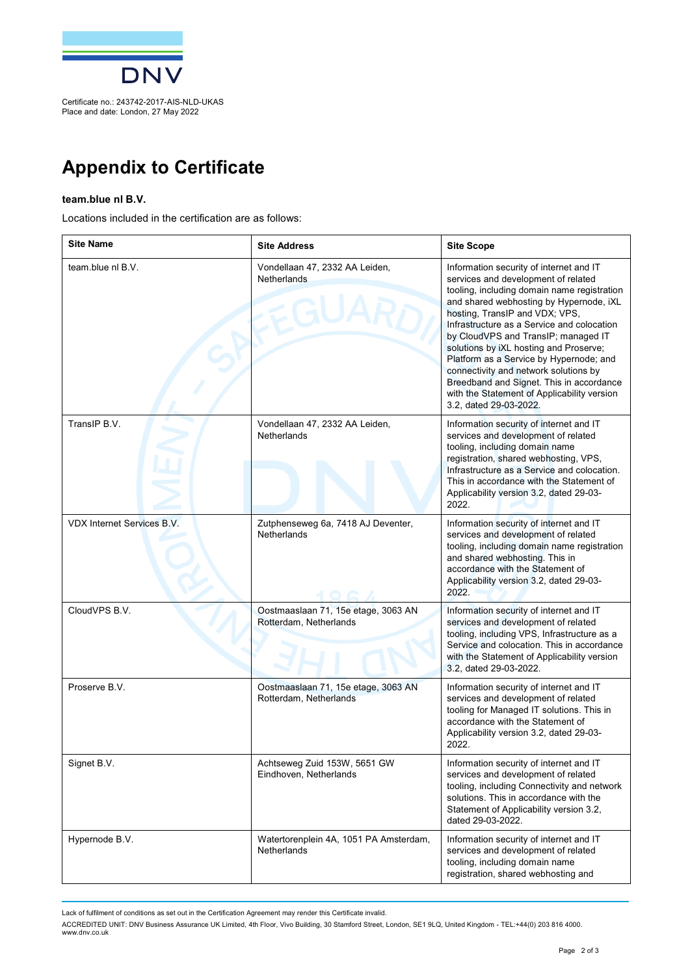

Place and date: London, 27 May 2022

## **Appendix to Certificate**

## **team.blue nl B.V.**

Locations included in the certification are as follows:

| <b>Site Name</b>           | <b>Site Address</b>                                           | <b>Site Scope</b>                                                                                                                                                                                                                                                                                                                                                                                                                                                                                                                                  |
|----------------------------|---------------------------------------------------------------|----------------------------------------------------------------------------------------------------------------------------------------------------------------------------------------------------------------------------------------------------------------------------------------------------------------------------------------------------------------------------------------------------------------------------------------------------------------------------------------------------------------------------------------------------|
| team.blue nl B.V.          | Vondellaan 47, 2332 AA Leiden,<br>Netherlands                 | Information security of internet and IT<br>services and development of related<br>tooling, including domain name registration<br>and shared webhosting by Hypernode, iXL<br>hosting, TransIP and VDX; VPS,<br>Infrastructure as a Service and colocation<br>by CloudVPS and TransIP; managed IT<br>solutions by iXL hosting and Proserve;<br>Platform as a Service by Hypernode; and<br>connectivity and network solutions by<br>Breedband and Signet. This in accordance<br>with the Statement of Applicability version<br>3.2, dated 29-03-2022. |
| TransIP B.V.               | Vondellaan 47, 2332 AA Leiden,<br><b>Netherlands</b>          | Information security of internet and IT<br>services and development of related<br>tooling, including domain name<br>registration, shared webhosting, VPS,<br>Infrastructure as a Service and colocation.<br>This in accordance with the Statement of<br>Applicability version 3.2, dated 29-03-<br>2022.                                                                                                                                                                                                                                           |
| VDX Internet Services B.V. | Zutphenseweg 6a, 7418 AJ Deventer,<br><b>Netherlands</b>      | Information security of internet and IT<br>services and development of related<br>tooling, including domain name registration<br>and shared webhosting. This in<br>accordance with the Statement of<br>Applicability version 3.2, dated 29-03-<br>2022.                                                                                                                                                                                                                                                                                            |
| CloudVPS B.V.              | Oostmaaslaan 71, 15e etage, 3063 AN<br>Rotterdam, Netherlands | Information security of internet and IT<br>services and development of related<br>tooling, including VPS, Infrastructure as a<br>Service and colocation. This in accordance<br>with the Statement of Applicability version<br>3.2, dated 29-03-2022.                                                                                                                                                                                                                                                                                               |
| Proserve B.V.              | Oostmaaslaan 71, 15e etage, 3063 AN<br>Rotterdam, Netherlands | Information security of internet and IT<br>services and development of related<br>tooling for Managed IT solutions. This in<br>accordance with the Statement of<br>Applicability version 3.2, dated 29-03-<br>2022.                                                                                                                                                                                                                                                                                                                                |
| Signet B.V.                | Achtseweg Zuid 153W, 5651 GW<br>Eindhoven, Netherlands        | Information security of internet and IT<br>services and development of related<br>tooling, including Connectivity and network<br>solutions. This in accordance with the<br>Statement of Applicability version 3.2,<br>dated 29-03-2022.                                                                                                                                                                                                                                                                                                            |
| Hypernode B.V.             | Watertorenplein 4A, 1051 PA Amsterdam,<br><b>Netherlands</b>  | Information security of internet and IT<br>services and development of related<br>tooling, including domain name<br>registration, shared webhosting and                                                                                                                                                                                                                                                                                                                                                                                            |

Lack of fulfilment of conditions as set out in the Certification Agreement may render this Certificate invalid.

ACCREDITED UNIT: DNV Business Assurance UK Limited, 4th Floor, Vivo Building, 30 Stamtord Street, London, SE1 9LQ, United Kingdom - TEL:+44(0) 203 816 4000.<br>[www.dnv.co.uk](http://www.dnv.co.uk)